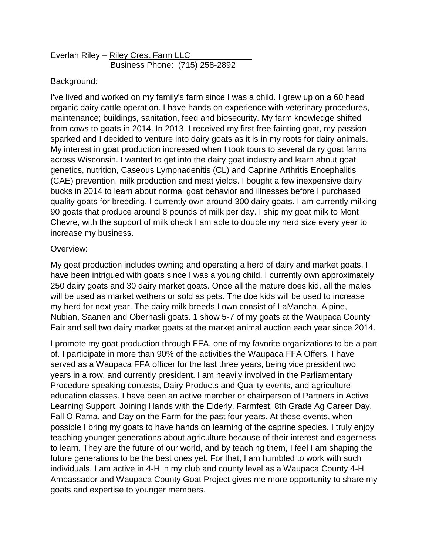| Everlah Riley – Riley Crest Farm LLC |  |  |
|--------------------------------------|--|--|
| Business Phone: (715) 258-2892       |  |  |

## Background:

I've lived and worked on my family's farm since I was a child. I grew up on a 60 head organic dairy cattle operation. I have hands on experience with veterinary procedures, maintenance; buildings, sanitation, feed and biosecurity. My farm knowledge shifted from cows to goats in 2014. In 2013, I received my first free fainting goat, my passion sparked and I decided to venture into dairy goats as it is in my roots for dairy animals. My interest in goat production increased when I took tours to several dairy goat farms across Wisconsin. I wanted to get into the dairy goat industry and learn about goat genetics, nutrition, Caseous Lymphadenitis (CL) and Caprine Arthritis Encephalitis (CAE) prevention, milk production and meat yields. I bought a few inexpensive dairy bucks in 2014 to learn about normal goat behavior and illnesses before I purchased quality goats for breeding. I currently own around 300 dairy goats. I am currently milking 90 goats that produce around 8 pounds of milk per day. I ship my goat milk to Mont Chevre, with the support of milk check I am able to double my herd size every year to increase my business.

## Overview:

My goat production includes owning and operating a herd of dairy and market goats. I have been intrigued with goats since I was a young child. I currently own approximately 250 dairy goats and 30 dairy market goats. Once all the mature does kid, all the males will be used as market wethers or sold as pets. The doe kids will be used to increase my herd for next year. The dairy milk breeds I own consist of LaMancha, Alpine, Nubian, Saanen and Oberhasli goats. 1 show 5-7 of my goats at the Waupaca County Fair and sell two dairy market goats at the market animal auction each year since 2014.

I promote my goat production through FFA, one of my favorite organizations to be a part of. I participate in more than 90% of the activities the Waupaca FFA Offers. I have served as a Waupaca FFA officer for the last three years, being vice president two years in a row, and currently president. I am heavily involved in the Parliamentary Procedure speaking contests, Dairy Products and Quality events, and agriculture education classes. I have been an active member or chairperson of Partners in Active Learning Support, Joining Hands with the Elderly, Farmfest, 8th Grade Ag Career Day, Fall O Rama, and Day on the Farm for the past four years. At these events, when possible I bring my goats to have hands on learning of the caprine species. I truly enjoy teaching younger generations about agriculture because of their interest and eagerness to learn. They are the future of our world, and by teaching them, I feel I am shaping the future generations to be the best ones yet. For that, I am humbled to work with such individuals. I am active in 4-H in my club and county level as a Waupaca County 4-H Ambassador and Waupaca County Goat Project gives me more opportunity to share my goats and expertise to younger members.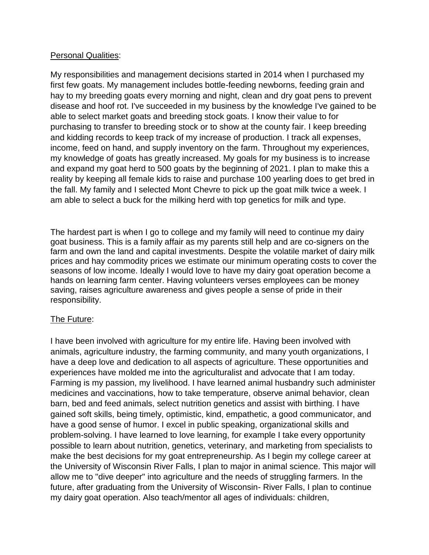## Personal Qualities:

My responsibilities and management decisions started in 2014 when I purchased my first few goats. My management includes bottle-feeding newborns, feeding grain and hay to my breeding goats every morning and night, clean and dry goat pens to prevent disease and hoof rot. I've succeeded in my business by the knowledge I've gained to be able to select market goats and breeding stock goats. I know their value to for purchasing to transfer to breeding stock or to show at the county fair. I keep breeding and kidding records to keep track of my increase of production. I track all expenses, income, feed on hand, and supply inventory on the farm. Throughout my experiences, my knowledge of goats has greatly increased. My goals for my business is to increase and expand my goat herd to 500 goats by the beginning of 2021. I plan to make this a reality by keeping all female kids to raise and purchase 100 yearling does to get bred in the fall. My family and I selected Mont Chevre to pick up the goat milk twice a week. I am able to select a buck for the milking herd with top genetics for milk and type.

The hardest part is when I go to college and my family will need to continue my dairy goat business. This is a family affair as my parents still help and are co-signers on the farm and own the land and capital investments. Despite the volatile market of dairy milk prices and hay commodity prices we estimate our minimum operating costs to cover the seasons of low income. Ideally I would love to have my dairy goat operation become a hands on learning farm center. Having volunteers verses employees can be money saving, raises agriculture awareness and gives people a sense of pride in their responsibility.

## The Future:

I have been involved with agriculture for my entire life. Having been involved with animals, agriculture industry, the farming community, and many youth organizations, I have a deep love and dedication to all aspects of agriculture. These opportunities and experiences have molded me into the agriculturalist and advocate that I am today. Farming is my passion, my livelihood. I have learned animal husbandry such administer medicines and vaccinations, how to take temperature, observe animal behavior, clean barn, bed and feed animals, select nutrition genetics and assist with birthing. I have gained soft skills, being timely, optimistic, kind, empathetic, a good communicator, and have a good sense of humor. I excel in public speaking, organizational skills and problem-solving. I have learned to love learning, for example I take every opportunity possible to learn about nutrition, genetics, veterinary, and marketing from specialists to make the best decisions for my goat entrepreneurship. As I begin my college career at the University of Wisconsin River Falls, I plan to major in animal science. This major will allow me to "dive deeper" into agriculture and the needs of struggling farmers. In the future, after graduating from the University of Wisconsin- River Falls, I plan to continue my dairy goat operation. Also teach/mentor all ages of individuals: children,